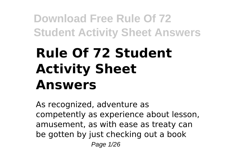# **Rule Of 72 Student Activity Sheet Answers**

As recognized, adventure as competently as experience about lesson, amusement, as with ease as treaty can be gotten by just checking out a book Page 1/26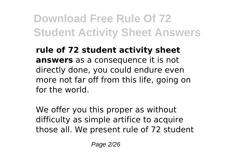**rule of 72 student activity sheet answers** as a consequence it is not directly done, you could endure even more not far off from this life, going on for the world.

We offer you this proper as without difficulty as simple artifice to acquire those all. We present rule of 72 student

Page 2/26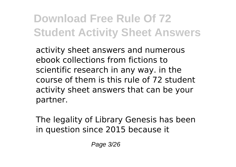activity sheet answers and numerous ebook collections from fictions to scientific research in any way. in the course of them is this rule of 72 student activity sheet answers that can be your partner.

The legality of Library Genesis has been in question since 2015 because it

Page 3/26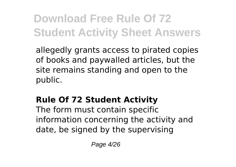allegedly grants access to pirated copies of books and paywalled articles, but the site remains standing and open to the public.

### **Rule Of 72 Student Activity**

The form must contain specific information concerning the activity and date, be signed by the supervising

Page 4/26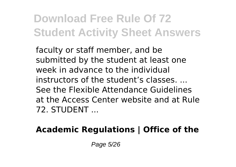faculty or staff member, and be submitted by the student at least one week in advance to the individual instructors of the student's classes. ... See the Flexible Attendance Guidelines at the Access Center website and at Rule 72. STUDENT ...

### **Academic Regulations | Office of the**

Page 5/26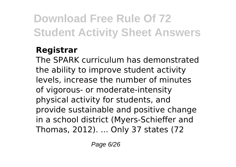### **Registrar**

The SPARK curriculum has demonstrated the ability to improve student activity levels, increase the number of minutes of vigorous- or moderate-intensity physical activity for students, and provide sustainable and positive change in a school district (Myers-Schieffer and Thomas, 2012). ... Only 37 states (72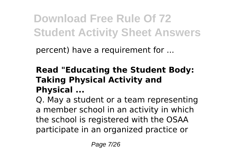percent) have a requirement for ...

### **Read "Educating the Student Body: Taking Physical Activity and Physical ...**

Q. May a student or a team representing a member school in an activity in which the school is registered with the OSAA participate in an organized practice or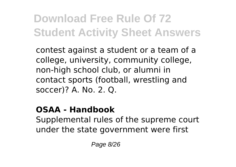contest against a student or a team of a college, university, community college, non-high school club, or alumni in contact sports (football, wrestling and soccer)? A. No. 2. Q.

#### **OSAA - Handbook**

Supplemental rules of the supreme court under the state government were first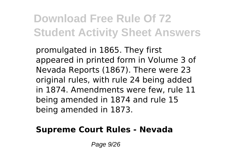promulgated in 1865. They first appeared in printed form in Volume 3 of Nevada Reports (1867). There were 23 original rules, with rule 24 being added in 1874. Amendments were few, rule 11 being amended in 1874 and rule 15 being amended in 1873.

#### **Supreme Court Rules - Nevada**

Page 9/26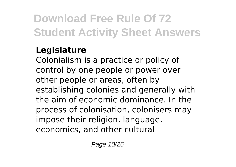### **Legislature**

Colonialism is a practice or policy of control by one people or power over other people or areas, often by establishing colonies and generally with the aim of economic dominance. In the process of colonisation, colonisers may impose their religion, language, economics, and other cultural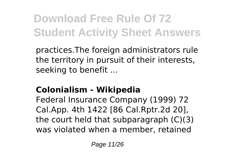practices.The foreign administrators rule the territory in pursuit of their interests, seeking to benefit ...

### **Colonialism - Wikipedia**

Federal Insurance Company (1999) 72 Cal.App. 4th 1422 [86 Cal.Rptr.2d 20], the court held that subparagraph (C)(3) was violated when a member, retained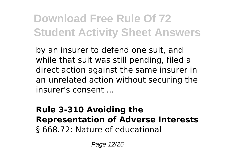by an insurer to defend one suit, and while that suit was still pending, filed a direct action against the same insurer in an unrelated action without securing the insurer's consent ...

#### **Rule 3-310 Avoiding the Representation of Adverse Interests** § 668.72: Nature of educational

Page 12/26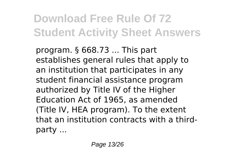program. § 668.73 ... This part establishes general rules that apply to an institution that participates in any student financial assistance program authorized by Title IV of the Higher Education Act of 1965, as amended (Title IV, HEA program). To the extent that an institution contracts with a thirdparty ...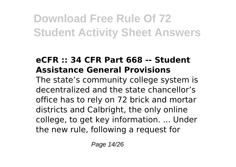### **eCFR :: 34 CFR Part 668 -- Student Assistance General Provisions**

The state's community college system is decentralized and the state chancellor's office has to rely on 72 brick and mortar districts and Calbright, the only online college, to get key information. ... Under the new rule, following a request for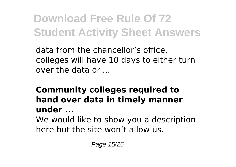data from the chancellor's office, colleges will have 10 days to either turn over the data or ...

### **Community colleges required to hand over data in timely manner under ...**

We would like to show you a description here but the site won't allow us.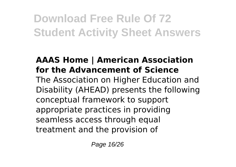#### **AAAS Home | American Association for the Advancement of Science**

The Association on Higher Education and Disability (AHEAD) presents the following conceptual framework to support appropriate practices in providing seamless access through equal treatment and the provision of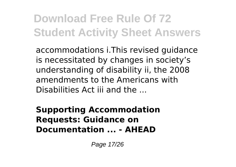accommodations i.This revised guidance is necessitated by changes in society's understanding of disability ii, the 2008 amendments to the Americans with Disabilities Act iii and the ...

**Supporting Accommodation Requests: Guidance on Documentation ... - AHEAD**

Page 17/26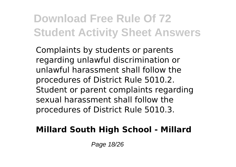Complaints by students or parents regarding unlawful discrimination or unlawful harassment shall follow the procedures of District Rule 5010.2. Student or parent complaints regarding sexual harassment shall follow the procedures of District Rule 5010.3.

#### **Millard South High School - Millard**

Page 18/26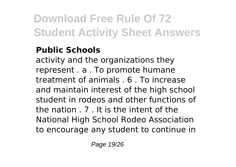#### **Public Schools**

activity and the organizations they represent . a . To promote humane treatment of animals . 6 . To increase and maintain interest of the high school student in rodeos and other functions of the nation . 7 . It is the intent of the National High School Rodeo Association to encourage any student to continue in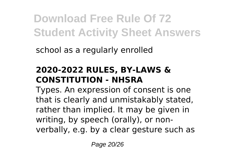school as a regularly enrolled

### **2020-2022 RULES, BY-LAWS & CONSTITUTION - NHSRA**

Types. An expression of consent is one that is clearly and unmistakably stated, rather than implied. It may be given in writing, by speech (orally), or nonverbally, e.g. by a clear gesture such as

Page 20/26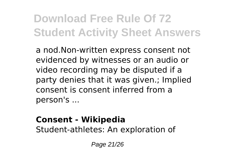a nod.Non-written express consent not evidenced by witnesses or an audio or video recording may be disputed if a party denies that it was given.; Implied consent is consent inferred from a person's ...

#### **Consent - Wikipedia**

Student-athletes: An exploration of

Page 21/26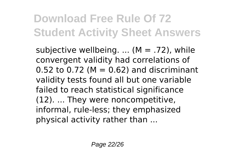subjective wellbeing.  $\dots$  (M = .72), while convergent validity had correlations of  $0.52$  to  $0.72$  (M =  $0.62$ ) and discriminant validity tests found all but one variable failed to reach statistical significance (12). ... They were noncompetitive, informal, rule-less; they emphasized physical activity rather than ...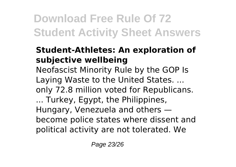#### **Student-Athletes: An exploration of subjective wellbeing**

Neofascist Minority Rule by the GOP Is Laying Waste to the United States. ... only 72.8 million voted for Republicans. ... Turkey, Egypt, the Philippines, Hungary, Venezuela and others become police states where dissent and political activity are not tolerated. We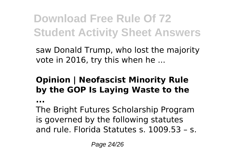saw Donald Trump, who lost the majority vote in 2016, try this when he ...

### **Opinion | Neofascist Minority Rule by the GOP Is Laying Waste to the**

**...**

The Bright Futures Scholarship Program is governed by the following statutes and rule. Florida Statutes s. 1009.53 – s.

Page 24/26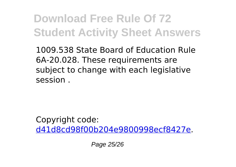1009.538 State Board of Education Rule 6A-20.028. These requirements are subject to change with each legislative session .

Copyright code: [d41d8cd98f00b204e9800998ecf8427e.](/sitemap.xml)

Page 25/26